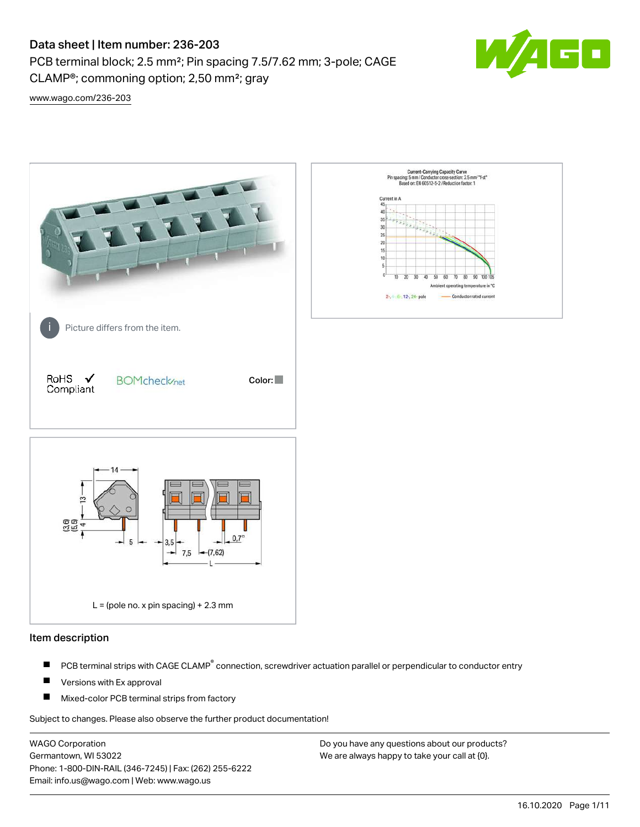# Data sheet | Item number: 236-203

PCB terminal block; 2.5 mm²; Pin spacing 7.5/7.62 mm; 3-pole; CAGE CLAMP®; commoning option; 2,50 mm²; gray



[www.wago.com/236-203](http://www.wago.com/236-203)



#### Item description

- PCB terminal strips with CAGE CLAMP<sup>®</sup> connection, screwdriver actuation parallel or perpendicular to conductor entry П
- П Versions with Ex approval
- П Mixed-color PCB terminal strips from factory

Subject to changes. Please also observe the further product documentation!

WAGO Corporation Germantown, WI 53022 Phone: 1-800-DIN-RAIL (346-7245) | Fax: (262) 255-6222 Email: info.us@wago.com | Web: www.wago.us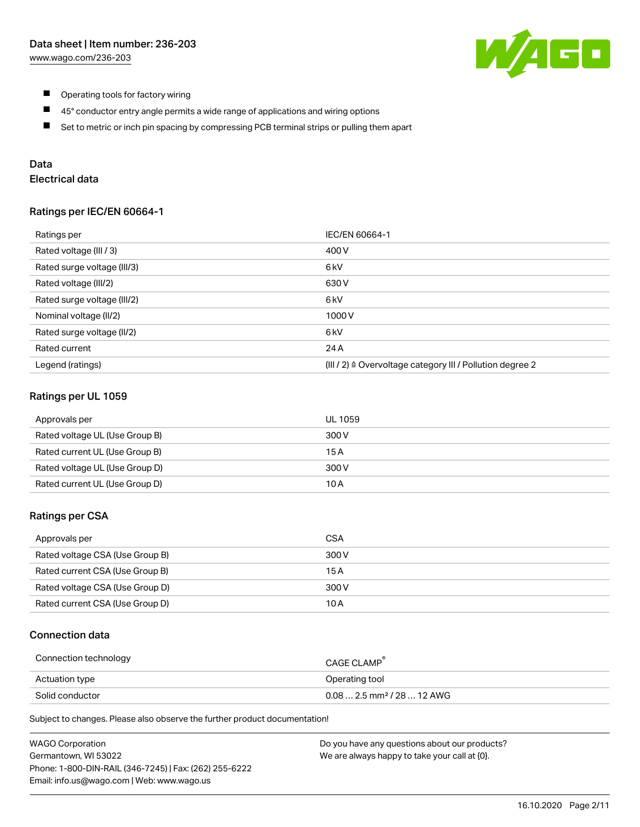

- $\blacksquare$ Operating tools for factory wiring
- $\blacksquare$ 45° conductor entry angle permits a wide range of applications and wiring options
- $\blacksquare$ Set to metric or inch pin spacing by compressing PCB terminal strips or pulling them apart

# Data

# Electrical data

#### Ratings per IEC/EN 60664-1

| Ratings per                 | IEC/EN 60664-1                                                        |  |
|-----------------------------|-----------------------------------------------------------------------|--|
| Rated voltage (III / 3)     | 400 V                                                                 |  |
| Rated surge voltage (III/3) | 6 <sub>kV</sub>                                                       |  |
| Rated voltage (III/2)       | 630 V                                                                 |  |
| Rated surge voltage (III/2) | 6 <sub>k</sub> V                                                      |  |
| Nominal voltage (II/2)      | 1000V                                                                 |  |
| Rated surge voltage (II/2)  | 6 kV                                                                  |  |
| Rated current               | 24 A                                                                  |  |
| Legend (ratings)            | $(III / 2)$ $\triangle$ Overvoltage category III / Pollution degree 2 |  |

### Ratings per UL 1059

| Approvals per                  | UL 1059 |
|--------------------------------|---------|
| Rated voltage UL (Use Group B) | 300 V   |
| Rated current UL (Use Group B) | 15 A    |
| Rated voltage UL (Use Group D) | 300 V   |
| Rated current UL (Use Group D) | 10 A    |

#### Ratings per CSA

| Approvals per                   | CSA   |
|---------------------------------|-------|
| Rated voltage CSA (Use Group B) | 300 V |
| Rated current CSA (Use Group B) | 15 A  |
| Rated voltage CSA (Use Group D) | 300 V |
| Rated current CSA (Use Group D) | 10 A  |

### Connection data

| Connection technology | <b>CAGE CLAMP</b>                       |
|-----------------------|-----------------------------------------|
| Actuation type        | Operating tool                          |
| Solid conductor       | $0.08$ 2.5 mm <sup>2</sup> / 28  12 AWG |

Subject to changes. Please also observe the further product documentation!

| <b>WAGO Corporation</b>                                | Do you have any questions about our products? |
|--------------------------------------------------------|-----------------------------------------------|
| Germantown, WI 53022                                   | We are always happy to take your call at {0}. |
| Phone: 1-800-DIN-RAIL (346-7245)   Fax: (262) 255-6222 |                                               |
| Email: info.us@wago.com   Web: www.wago.us             |                                               |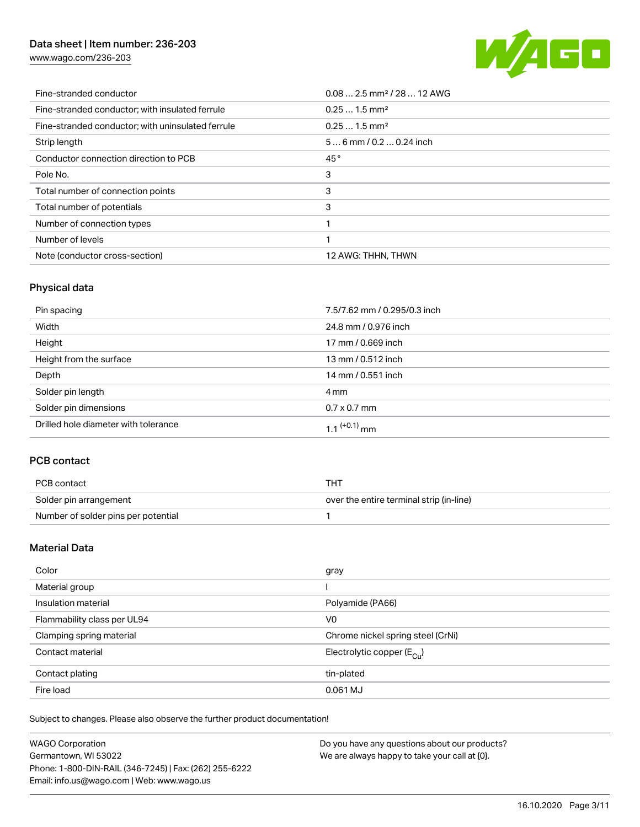# Data sheet | Item number: 236-203

[www.wago.com/236-203](http://www.wago.com/236-203)



| Fine-stranded conductor                           | $0.08$ 2.5 mm <sup>2</sup> / 28  12 AWG |
|---------------------------------------------------|-----------------------------------------|
| Fine-stranded conductor; with insulated ferrule   | $0.251.5$ mm <sup>2</sup>               |
| Fine-stranded conductor; with uninsulated ferrule | $0.251.5$ mm <sup>2</sup>               |
| Strip length                                      | $56$ mm / 0.2  0.24 inch                |
| Conductor connection direction to PCB             | 45°                                     |
| Pole No.                                          | 3                                       |
| Total number of connection points                 | 3                                       |
| Total number of potentials                        | 3                                       |
| Number of connection types                        |                                         |
| Number of levels                                  |                                         |
| Note (conductor cross-section)                    | 12 AWG: THHN, THWN                      |

# Physical data

| Pin spacing                          | 7.5/7.62 mm / 0.295/0.3 inch |
|--------------------------------------|------------------------------|
| Width                                | 24.8 mm / 0.976 inch         |
| Height                               | 17 mm / 0.669 inch           |
| Height from the surface              | 13 mm / 0.512 inch           |
| Depth                                | 14 mm / 0.551 inch           |
| Solder pin length                    | 4 mm                         |
| Solder pin dimensions                | $0.7 \times 0.7$ mm          |
| Drilled hole diameter with tolerance | $1.1$ <sup>(+0.1)</sup> mm   |

# PCB contact

| PCB contact                         | THT                                      |
|-------------------------------------|------------------------------------------|
| Solder pin arrangement              | over the entire terminal strip (in-line) |
| Number of solder pins per potential |                                          |

# Material Data

| Color                       | gray                                   |
|-----------------------------|----------------------------------------|
| Material group              |                                        |
| Insulation material         | Polyamide (PA66)                       |
| Flammability class per UL94 | V <sub>0</sub>                         |
| Clamping spring material    | Chrome nickel spring steel (CrNi)      |
| Contact material            | Electrolytic copper $(E_{\text{CII}})$ |
| Contact plating             | tin-plated                             |
| Fire load                   | 0.061 MJ                               |

Subject to changes. Please also observe the further product documentation!

| WAGO Corporation                                       | Do you have any questions about our products? |
|--------------------------------------------------------|-----------------------------------------------|
| Germantown, WI 53022                                   | We are always happy to take your call at {0}. |
| Phone: 1-800-DIN-RAIL (346-7245)   Fax: (262) 255-6222 |                                               |
| Email: info.us@wago.com   Web: www.wago.us             |                                               |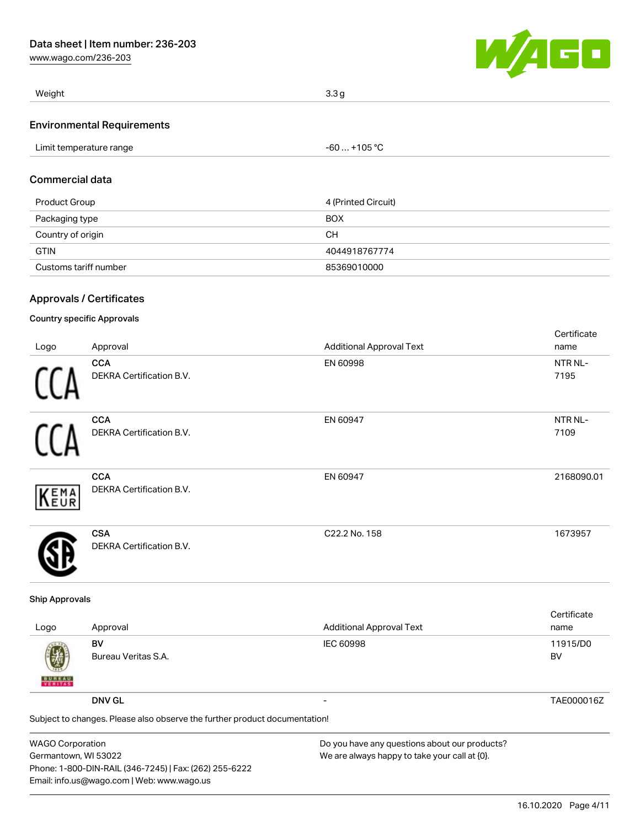[www.wago.com/236-203](http://www.wago.com/236-203)



| Weight                            | 3.3 <sub>q</sub> |
|-----------------------------------|------------------|
| <b>Environmental Requirements</b> |                  |

| Limit temperature range | $-60+105 °C$ |  |
|-------------------------|--------------|--|
|-------------------------|--------------|--|

### Commercial data

| Product Group         | 4 (Printed Circuit) |  |
|-----------------------|---------------------|--|
| Packaging type        | <b>BOX</b>          |  |
| Country of origin     | CН                  |  |
| <b>GTIN</b>           | 4044918767774       |  |
| Customs tariff number | 85369010000         |  |

### Approvals / Certificates

### Country specific Approvals

|      |                                               |                                 | Certificate     |
|------|-----------------------------------------------|---------------------------------|-----------------|
| Logo | Approval                                      | <b>Additional Approval Text</b> | name            |
| H    | <b>CCA</b><br><b>DEKRA Certification B.V.</b> | EN 60998                        | NTR NL-<br>7195 |
| 11   | <b>CCA</b><br>DEKRA Certification B.V.        | EN 60947                        | NTR NL-<br>7109 |
| KEMA | <b>CCA</b><br>DEKRA Certification B.V.        | EN 60947                        | 2168090.01      |
|      | <b>CSA</b><br><b>DEKRA Certification B.V.</b> | C22.2 No. 158                   | 1673957         |

#### Ship Approvals

| Logo                                                                       | Approval                  | <b>Additional Approval Text</b> | Certificate<br>name |
|----------------------------------------------------------------------------|---------------------------|---------------------------------|---------------------|
| 團<br><b>BUREAU</b>                                                         | BV<br>Bureau Veritas S.A. | <b>IEC 60998</b>                | 11915/D0<br>BV      |
|                                                                            | <b>DNV GL</b>             |                                 | TAE000016Z          |
| Subject to changes. Please also observe the further product documentation! |                           |                                 |                     |
|                                                                            |                           |                                 |                     |

WAGO Corporation Germantown, WI 53022 Phone: 1-800-DIN-RAIL (346-7245) | Fax: (262) 255-6222 Email: info.us@wago.com | Web: www.wago.us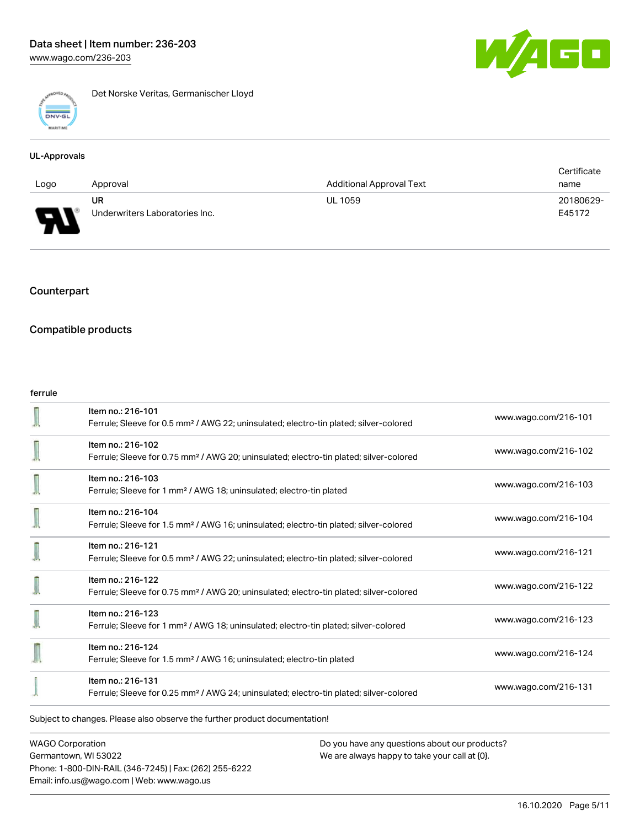

Det Norske Veritas, Germanischer Lloyd

#### UL-Approvals

|      |                                |                                 | Certificate |
|------|--------------------------------|---------------------------------|-------------|
| Logo | Approval                       | <b>Additional Approval Text</b> | name        |
|      | UR                             | <b>UL 1059</b>                  | 20180629-   |
| J    | Underwriters Laboratories Inc. |                                 | E45172      |

# Counterpart

### Compatible products

#### ferrule

|                                                                            | Item no.: 216-101<br>Ferrule; Sleeve for 0.5 mm <sup>2</sup> / AWG 22; uninsulated; electro-tin plated; silver-colored  | www.wago.com/216-101 |  |
|----------------------------------------------------------------------------|-------------------------------------------------------------------------------------------------------------------------|----------------------|--|
|                                                                            | Item no.: 216-102<br>Ferrule; Sleeve for 0.75 mm <sup>2</sup> / AWG 20; uninsulated; electro-tin plated; silver-colored | www.wago.com/216-102 |  |
|                                                                            | Item no.: 216-103<br>Ferrule; Sleeve for 1 mm <sup>2</sup> / AWG 18; uninsulated; electro-tin plated                    | www.wago.com/216-103 |  |
|                                                                            | Item no.: 216-104<br>Ferrule; Sleeve for 1.5 mm <sup>2</sup> / AWG 16; uninsulated; electro-tin plated; silver-colored  | www.wago.com/216-104 |  |
|                                                                            | Item no.: 216-121<br>Ferrule; Sleeve for 0.5 mm <sup>2</sup> / AWG 22; uninsulated; electro-tin plated; silver-colored  | www.wago.com/216-121 |  |
|                                                                            | Item no.: 216-122<br>Ferrule; Sleeve for 0.75 mm <sup>2</sup> / AWG 20; uninsulated; electro-tin plated; silver-colored | www.wago.com/216-122 |  |
|                                                                            | Item no.: 216-123<br>Ferrule; Sleeve for 1 mm <sup>2</sup> / AWG 18; uninsulated; electro-tin plated; silver-colored    | www.wago.com/216-123 |  |
|                                                                            | Item no.: 216-124<br>Ferrule; Sleeve for 1.5 mm <sup>2</sup> / AWG 16; uninsulated; electro-tin plated                  | www.wago.com/216-124 |  |
|                                                                            | Item no.: 216-131<br>Ferrule; Sleeve for 0.25 mm <sup>2</sup> / AWG 24; uninsulated; electro-tin plated; silver-colored | www.wago.com/216-131 |  |
| Subject to changes. Please also observe the further product documentation! |                                                                                                                         |                      |  |

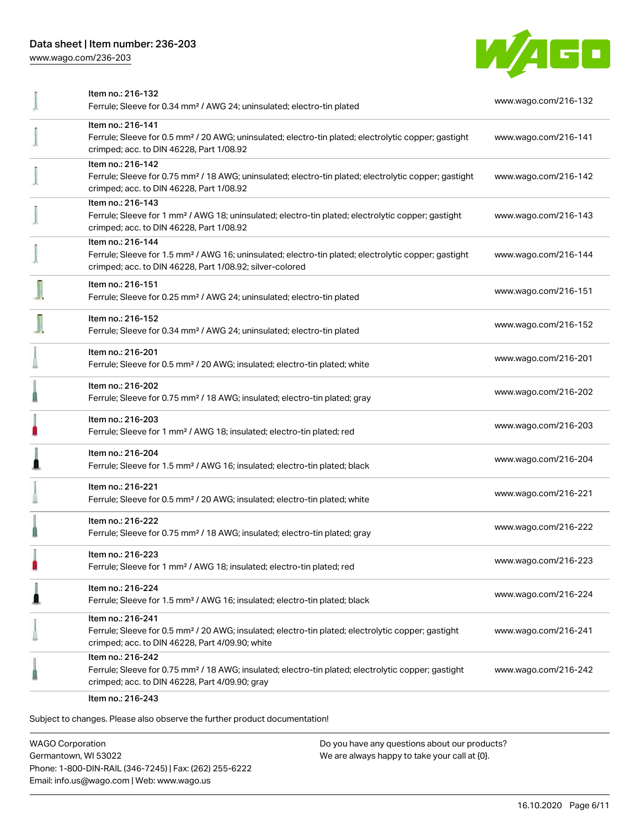# Data sheet | Item number: 236-203

[www.wago.com/236-203](http://www.wago.com/236-203)



| Item no.: 216-132                                                                                                                                                                                 | www.wago.com/216-132 |
|---------------------------------------------------------------------------------------------------------------------------------------------------------------------------------------------------|----------------------|
| Ferrule; Sleeve for 0.34 mm <sup>2</sup> / AWG 24; uninsulated; electro-tin plated                                                                                                                |                      |
| Item no.: 216-141<br>Ferrule; Sleeve for 0.5 mm <sup>2</sup> / 20 AWG; uninsulated; electro-tin plated; electrolytic copper; gastight<br>crimped; acc. to DIN 46228, Part 1/08.92                 | www.wago.com/216-141 |
| Item no.: 216-142<br>Ferrule; Sleeve for 0.75 mm <sup>2</sup> / 18 AWG; uninsulated; electro-tin plated; electrolytic copper; gastight<br>crimped; acc. to DIN 46228, Part 1/08.92                | www.wago.com/216-142 |
| Item no.: 216-143<br>Ferrule; Sleeve for 1 mm <sup>2</sup> / AWG 18; uninsulated; electro-tin plated; electrolytic copper; gastight<br>crimped; acc. to DIN 46228, Part 1/08.92                   | www.wago.com/216-143 |
| Item no.: 216-144<br>Ferrule; Sleeve for 1.5 mm <sup>2</sup> / AWG 16; uninsulated; electro-tin plated; electrolytic copper; gastight<br>crimped; acc. to DIN 46228, Part 1/08.92; silver-colored | www.wago.com/216-144 |
| Item no.: 216-151<br>Ferrule; Sleeve for 0.25 mm <sup>2</sup> / AWG 24; uninsulated; electro-tin plated                                                                                           | www.wago.com/216-151 |
| Item no.: 216-152<br>Ferrule; Sleeve for 0.34 mm <sup>2</sup> / AWG 24; uninsulated; electro-tin plated                                                                                           | www.wago.com/216-152 |
| Item no.: 216-201<br>Ferrule; Sleeve for 0.5 mm <sup>2</sup> / 20 AWG; insulated; electro-tin plated; white                                                                                       | www.wago.com/216-201 |
| Item no.: 216-202<br>Ferrule; Sleeve for 0.75 mm <sup>2</sup> / 18 AWG; insulated; electro-tin plated; gray                                                                                       | www.wago.com/216-202 |
| Item no.: 216-203<br>Ferrule; Sleeve for 1 mm <sup>2</sup> / AWG 18; insulated; electro-tin plated; red                                                                                           | www.wago.com/216-203 |
| Item no.: 216-204<br>Ferrule; Sleeve for 1.5 mm <sup>2</sup> / AWG 16; insulated; electro-tin plated; black                                                                                       | www.wago.com/216-204 |
| Item no.: 216-221<br>Ferrule; Sleeve for 0.5 mm <sup>2</sup> / 20 AWG; insulated; electro-tin plated; white                                                                                       | www.wago.com/216-221 |
| Item no.: 216-222<br>Ferrule; Sleeve for 0.75 mm <sup>2</sup> / 18 AWG; insulated; electro-tin plated; gray                                                                                       | www.wago.com/216-222 |
| Item no.: 216-223<br>Ferrule; Sleeve for 1 mm <sup>2</sup> / AWG 18; insulated; electro-tin plated; red                                                                                           | www.wago.com/216-223 |
| Item no.: 216-224<br>Ferrule; Sleeve for 1.5 mm <sup>2</sup> / AWG 16; insulated; electro-tin plated; black                                                                                       | www.wago.com/216-224 |
| Item no.: 216-241<br>Ferrule; Sleeve for 0.5 mm <sup>2</sup> / 20 AWG; insulated; electro-tin plated; electrolytic copper; gastight<br>crimped; acc. to DIN 46228, Part 4/09.90; white            | www.wago.com/216-241 |
| Item no.: 216-242<br>Ferrule; Sleeve for 0.75 mm <sup>2</sup> / 18 AWG; insulated; electro-tin plated; electrolytic copper; gastight<br>crimped; acc. to DIN 46228, Part 4/09.90; gray            | www.wago.com/216-242 |
| Item no.: 216-243                                                                                                                                                                                 |                      |

Subject to changes. Please also observe the further product documentation!

WAGO Corporation Germantown, WI 53022 Phone: 1-800-DIN-RAIL (346-7245) | Fax: (262) 255-6222 Email: info.us@wago.com | Web: www.wago.us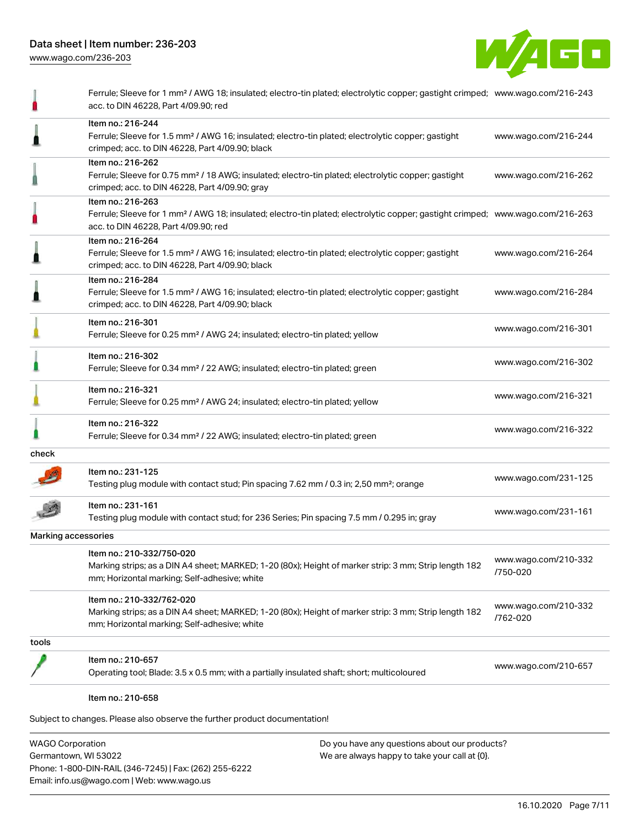Phone: 1-800-DIN-RAIL (346-7245) | Fax: (262) 255-6222

Email: info.us@wago.com | Web: www.wago.us



|                         | Ferrule; Sleeve for 1 mm <sup>2</sup> / AWG 18; insulated; electro-tin plated; electrolytic copper; gastight crimped; www.wago.com/216-243<br>acc. to DIN 46228, Part 4/09.90; red                      |                                                                                                |                                  |
|-------------------------|---------------------------------------------------------------------------------------------------------------------------------------------------------------------------------------------------------|------------------------------------------------------------------------------------------------|----------------------------------|
|                         | Item no.: 216-244<br>Ferrule; Sleeve for 1.5 mm <sup>2</sup> / AWG 16; insulated; electro-tin plated; electrolytic copper; gastight<br>crimped; acc. to DIN 46228, Part 4/09.90; black                  |                                                                                                | www.wago.com/216-244             |
|                         | Item no.: 216-262<br>Ferrule; Sleeve for 0.75 mm <sup>2</sup> / 18 AWG; insulated; electro-tin plated; electrolytic copper; gastight<br>crimped; acc. to DIN 46228, Part 4/09.90; gray                  |                                                                                                | www.wago.com/216-262             |
|                         | Item no.: 216-263<br>Ferrule; Sleeve for 1 mm <sup>2</sup> / AWG 18; insulated; electro-tin plated; electrolytic copper; gastight crimped; www.wago.com/216-263<br>acc. to DIN 46228, Part 4/09.90; red |                                                                                                |                                  |
|                         | Item no.: 216-264<br>Ferrule; Sleeve for 1.5 mm <sup>2</sup> / AWG 16; insulated; electro-tin plated; electrolytic copper; gastight<br>crimped; acc. to DIN 46228, Part 4/09.90; black                  |                                                                                                | www.wago.com/216-264             |
|                         | Item no.: 216-284<br>Ferrule; Sleeve for 1.5 mm <sup>2</sup> / AWG 16; insulated; electro-tin plated; electrolytic copper; gastight<br>crimped; acc. to DIN 46228, Part 4/09.90; black                  |                                                                                                | www.wago.com/216-284             |
|                         | Item no.: 216-301<br>Ferrule; Sleeve for 0.25 mm <sup>2</sup> / AWG 24; insulated; electro-tin plated; yellow                                                                                           |                                                                                                | www.wago.com/216-301             |
|                         | Item no.: 216-302<br>Ferrule; Sleeve for 0.34 mm <sup>2</sup> / 22 AWG; insulated; electro-tin plated; green                                                                                            |                                                                                                | www.wago.com/216-302             |
|                         | Item no.: 216-321<br>Ferrule; Sleeve for 0.25 mm <sup>2</sup> / AWG 24; insulated; electro-tin plated; yellow                                                                                           |                                                                                                | www.wago.com/216-321             |
|                         | Item no.: 216-322<br>Ferrule; Sleeve for 0.34 mm <sup>2</sup> / 22 AWG; insulated; electro-tin plated; green                                                                                            |                                                                                                | www.wago.com/216-322             |
| check                   |                                                                                                                                                                                                         |                                                                                                |                                  |
|                         | ltem no.: 231-125<br>Testing plug module with contact stud; Pin spacing 7.62 mm / 0.3 in; 2,50 mm <sup>2</sup> ; orange                                                                                 |                                                                                                | www.wago.com/231-125             |
|                         | Item no.: 231-161<br>Testing plug module with contact stud; for 236 Series; Pin spacing 7.5 mm / 0.295 in; gray                                                                                         |                                                                                                | www.wago.com/231-161             |
| Marking accessories     |                                                                                                                                                                                                         |                                                                                                |                                  |
|                         | Item no.: 210-332/750-020<br>Marking strips; as a DIN A4 sheet; MARKED; 1-20 (80x); Height of marker strip: 3 mm; Strip length 182<br>mm; Horizontal marking; Self-adhesive; white                      |                                                                                                | www.wago.com/210-332<br>/750-020 |
|                         | Item no.: 210-332/762-020<br>Marking strips; as a DIN A4 sheet; MARKED; 1-20 (80x); Height of marker strip: 3 mm; Strip length 182<br>mm; Horizontal marking; Self-adhesive; white                      |                                                                                                | www.wago.com/210-332<br>/762-020 |
| tools                   |                                                                                                                                                                                                         |                                                                                                |                                  |
|                         | ltem no.: 210-657<br>Operating tool; Blade: 3.5 x 0.5 mm; with a partially insulated shaft; short; multicoloured                                                                                        |                                                                                                | www.wago.com/210-657             |
|                         | Item no.: 210-658                                                                                                                                                                                       |                                                                                                |                                  |
|                         | Subject to changes. Please also observe the further product documentation!                                                                                                                              |                                                                                                |                                  |
| <b>WAGO Corporation</b> | Germantown, WI 53022                                                                                                                                                                                    | Do you have any questions about our products?<br>We are always happy to take your call at {0}. |                                  |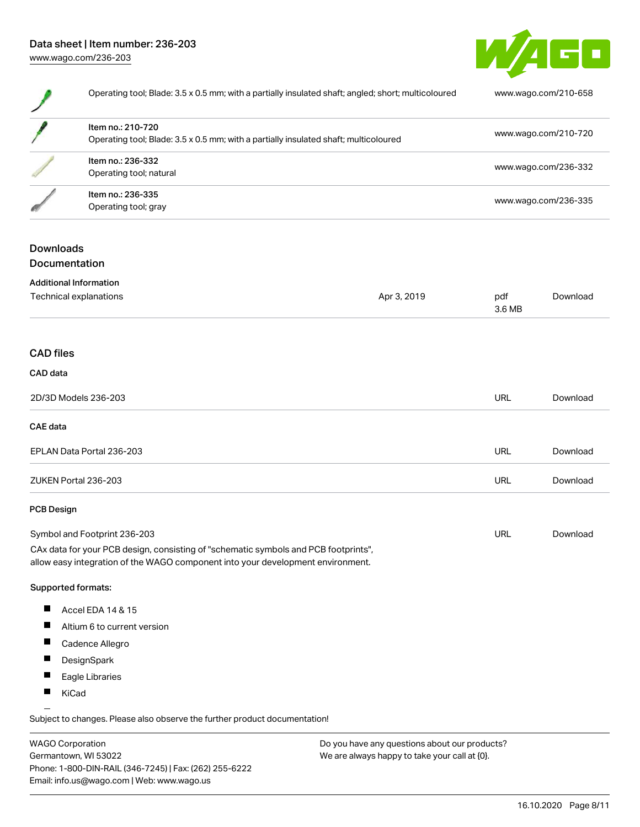# Data sheet | Item number: 236-203 [www.wago.com/236-203](http://www.wago.com/236-203)



| Operating tool; Blade: 3.5 x 0.5 mm; with a partially insulated shaft; angled; short; multicoloured |                                                                                                                                                                        | www.wago.com/210-658 |                      |                                              |  |
|-----------------------------------------------------------------------------------------------------|------------------------------------------------------------------------------------------------------------------------------------------------------------------------|----------------------|----------------------|----------------------------------------------|--|
|                                                                                                     | Item no.: 210-720<br>Operating tool; Blade: 3.5 x 0.5 mm; with a partially insulated shaft; multicoloured<br>Item no.: 236-332<br>Operating tool; natural              |                      |                      | www.wago.com/210-720<br>www.wago.com/236-332 |  |
|                                                                                                     |                                                                                                                                                                        |                      |                      |                                              |  |
|                                                                                                     | Item no.: 236-335<br>Operating tool; gray                                                                                                                              |                      | www.wago.com/236-335 |                                              |  |
| <b>Downloads</b><br>Documentation                                                                   |                                                                                                                                                                        |                      |                      |                                              |  |
|                                                                                                     | <b>Additional Information</b>                                                                                                                                          |                      |                      |                                              |  |
|                                                                                                     | <b>Technical explanations</b>                                                                                                                                          | Apr 3, 2019          | pdf<br>3.6 MB        | Download                                     |  |
| <b>CAD</b> files                                                                                    |                                                                                                                                                                        |                      |                      |                                              |  |
| CAD data                                                                                            |                                                                                                                                                                        |                      |                      |                                              |  |
|                                                                                                     | 2D/3D Models 236-203                                                                                                                                                   |                      | <b>URL</b>           | Download                                     |  |
| <b>CAE</b> data                                                                                     |                                                                                                                                                                        |                      |                      |                                              |  |
|                                                                                                     | EPLAN Data Portal 236-203                                                                                                                                              |                      | <b>URL</b>           | Download                                     |  |
|                                                                                                     | ZUKEN Portal 236-203                                                                                                                                                   |                      | <b>URL</b>           | Download                                     |  |
| <b>PCB Design</b>                                                                                   |                                                                                                                                                                        |                      |                      |                                              |  |
|                                                                                                     | Symbol and Footprint 236-203                                                                                                                                           |                      | <b>URL</b>           | Download                                     |  |
|                                                                                                     | CAx data for your PCB design, consisting of "schematic symbols and PCB footprints",<br>allow easy integration of the WAGO component into your development environment. |                      |                      |                                              |  |
|                                                                                                     | Supported formats:                                                                                                                                                     |                      |                      |                                              |  |
| ш                                                                                                   | Accel EDA 14 & 15                                                                                                                                                      |                      |                      |                                              |  |
| ш                                                                                                   | Altium 6 to current version                                                                                                                                            |                      |                      |                                              |  |

- $\blacksquare$ Cadence Allegro
- $\blacksquare$ DesignSpark
- $\blacksquare$ Eagle Libraries
- $\blacksquare$ KiCad

Subject to changes. Please also observe the further product documentation!

WAGO Corporation Germantown, WI 53022 Phone: 1-800-DIN-RAIL (346-7245) | Fax: (262) 255-6222 Email: info.us@wago.com | Web: www.wago.us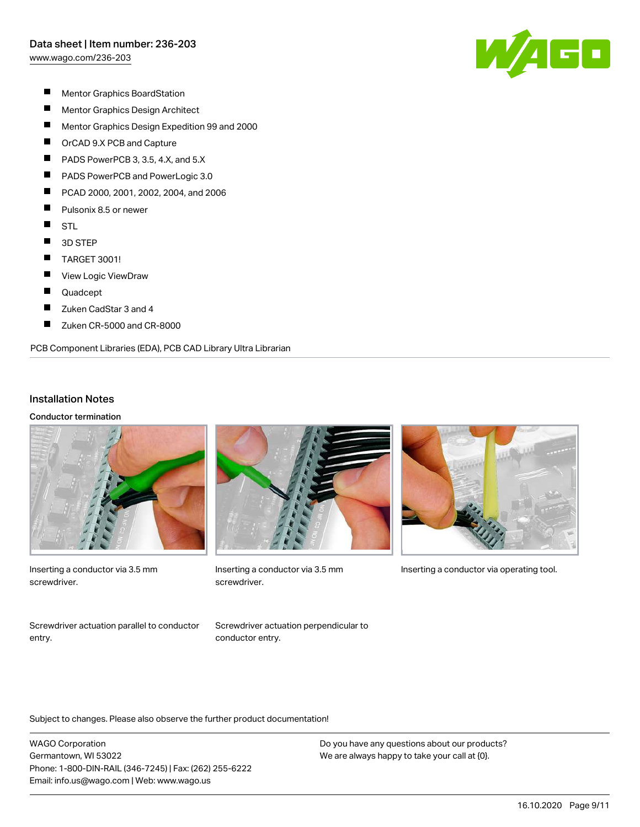[www.wago.com/236-203](http://www.wago.com/236-203)



- $\blacksquare$ Mentor Graphics BoardStation
- $\blacksquare$ Mentor Graphics Design Architect
- $\blacksquare$ Mentor Graphics Design Expedition 99 and 2000
- $\blacksquare$ OrCAD 9.X PCB and Capture
- П PADS PowerPCB 3, 3.5, 4.X, and 5.X
- П PADS PowerPCB and PowerLogic 3.0
- П PCAD 2000, 2001, 2002, 2004, and 2006
- $\blacksquare$ Pulsonix 8.5 or newer
- $\blacksquare$ **STL**
- $\blacksquare$ 3D STEP
- $\blacksquare$ TARGET 3001!
- П View Logic ViewDraw
- $\blacksquare$ Quadcept
- $\blacksquare$ Zuken CadStar 3 and 4
- П Zuken CR-5000 and CR-8000

#### PCB Component Libraries (EDA), PCB CAD Library Ultra Librarian

#### Installation Notes

Conductor termination



Inserting a conductor via 3.5 mm screwdriver.



screwdriver.



Inserting a conductor via 3.5 mm Inserting a conductor via operating tool.

Screwdriver actuation parallel to conductor entry.

Screwdriver actuation perpendicular to conductor entry.

Subject to changes. Please also observe the further product documentation!

WAGO Corporation Germantown, WI 53022 Phone: 1-800-DIN-RAIL (346-7245) | Fax: (262) 255-6222 Email: info.us@wago.com | Web: www.wago.us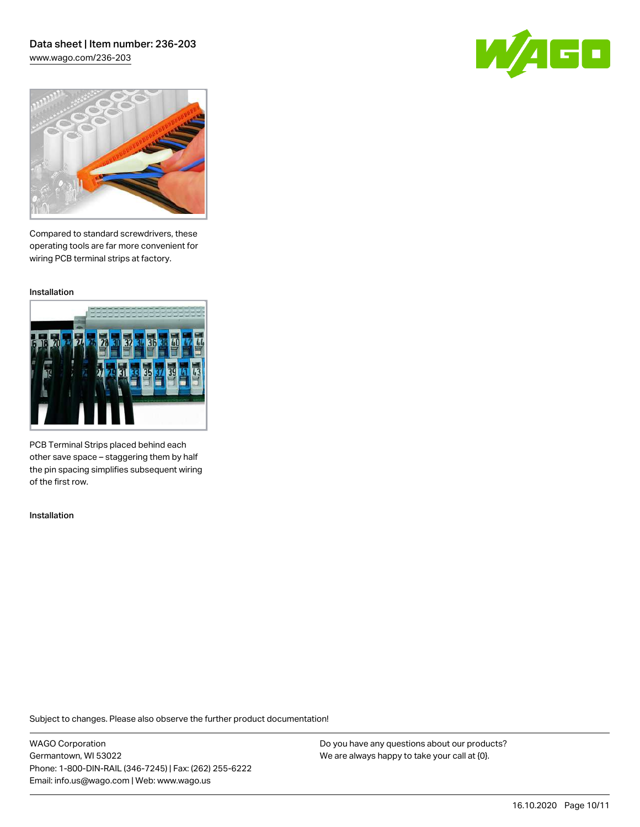### Data sheet | Item number: 236-203 [www.wago.com/236-203](http://www.wago.com/236-203)

GO



Compared to standard screwdrivers, these operating tools are far more convenient for wiring PCB terminal strips at factory.

Installation



PCB Terminal Strips placed behind each other save space – staggering them by half the pin spacing simplifies subsequent wiring of the first row.

Installation

Subject to changes. Please also observe the further product documentation!

WAGO Corporation Germantown, WI 53022 Phone: 1-800-DIN-RAIL (346-7245) | Fax: (262) 255-6222 Email: info.us@wago.com | Web: www.wago.us